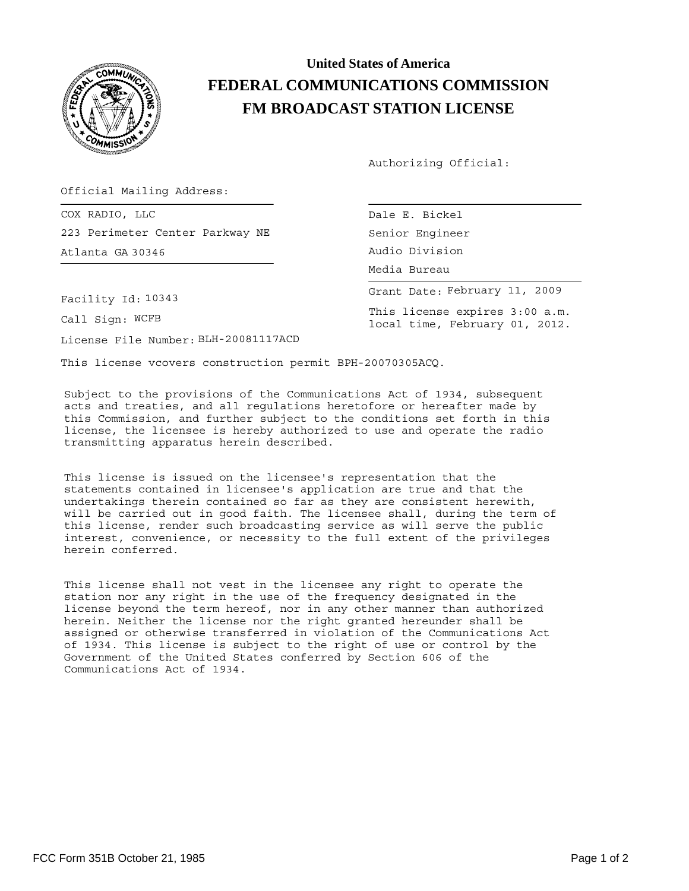

## **United States of America FEDERAL COMMUNICATIONS COMMISSION FM BROADCAST STATION LICENSE**

Authorizing Official:

Senior Engineer

Media Bureau Audio Division

This license expires 3:00 a.m. local time, February 01, 2012.

Grant Date: February 11, 2009

Official Mailing Address:

COX RADIO, LLC and the contract of the contract of the contract of the contract of the contract of the contract of the contract of the contract of the contract of the contract of the contract of the contract of the contrac 223 Perimeter Center Parkway NE Atlanta GA 30346

Facility Id: 10343

Call Sign: WCFB

License File Number: BLH-20081117ACD

This license vcovers construction permit BPH-20070305ACQ.

Subject to the provisions of the Communications Act of 1934, subsequent acts and treaties, and all regulations heretofore or hereafter made by this Commission, and further subject to the conditions set forth in this license, the licensee is hereby authorized to use and operate the radio transmitting apparatus herein described.

This license is issued on the licensee's representation that the statements contained in licensee's application are true and that the undertakings therein contained so far as they are consistent herewith, will be carried out in good faith. The licensee shall, during the term of this license, render such broadcasting service as will serve the public interest, convenience, or necessity to the full extent of the privileges herein conferred.

This license shall not vest in the licensee any right to operate the station nor any right in the use of the frequency designated in the license beyond the term hereof, nor in any other manner than authorized herein. Neither the license nor the right granted hereunder shall be assigned or otherwise transferred in violation of the Communications Act of 1934. This license is subject to the right of use or control by the Government of the United States conferred by Section 606 of the Communications Act of 1934.